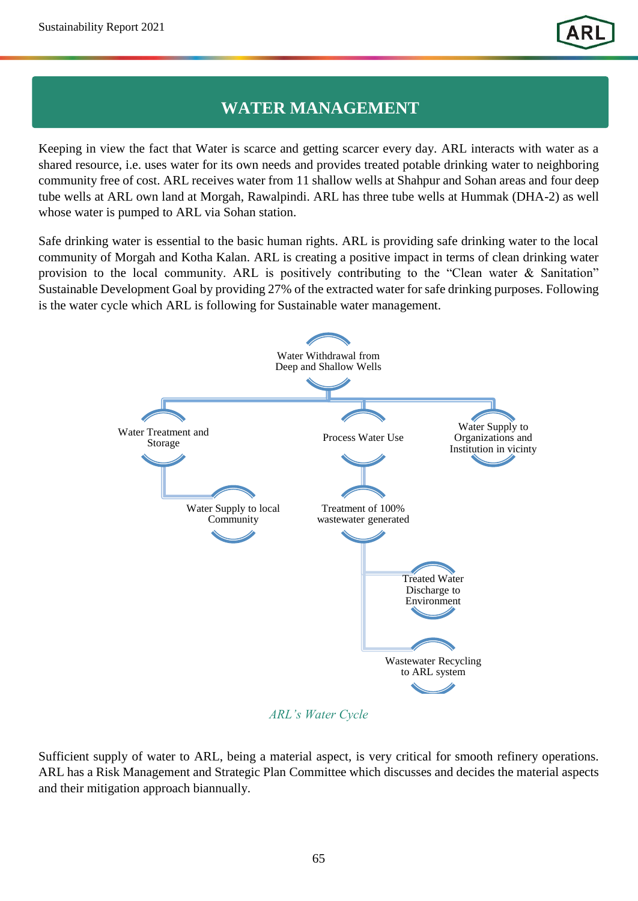## **WATER MANAGEMENT**

Keeping in view the fact that Water is scarce and getting scarcer every day. ARL interacts with water as a shared resource, i.e. uses water for its own needs and provides treated potable drinking water to neighboring community free of cost. ARL receives water from 11 shallow wells at Shahpur and Sohan areas and four deep tube wells at ARL own land at Morgah, Rawalpindi. ARL has three tube wells at Hummak (DHA-2) as well whose water is pumped to ARL via Sohan station.

Safe drinking water is essential to the basic human rights. ARL is providing safe drinking water to the local community of Morgah and Kotha Kalan. ARL is creating a positive impact in terms of clean drinking water provision to the local community. ARL is positively contributing to the "Clean water & Sanitation" Sustainable Development Goal by providing 27% of the extracted water for safe drinking purposes. Following is the water cycle which ARL is following for Sustainable water management.



*ARL's Water Cycle* 

Sufficient supply of water to ARL, being a material aspect, is very critical for smooth refinery operations. ARL has a Risk Management and Strategic Plan Committee which discusses and decides the material aspects and their mitigation approach biannually.